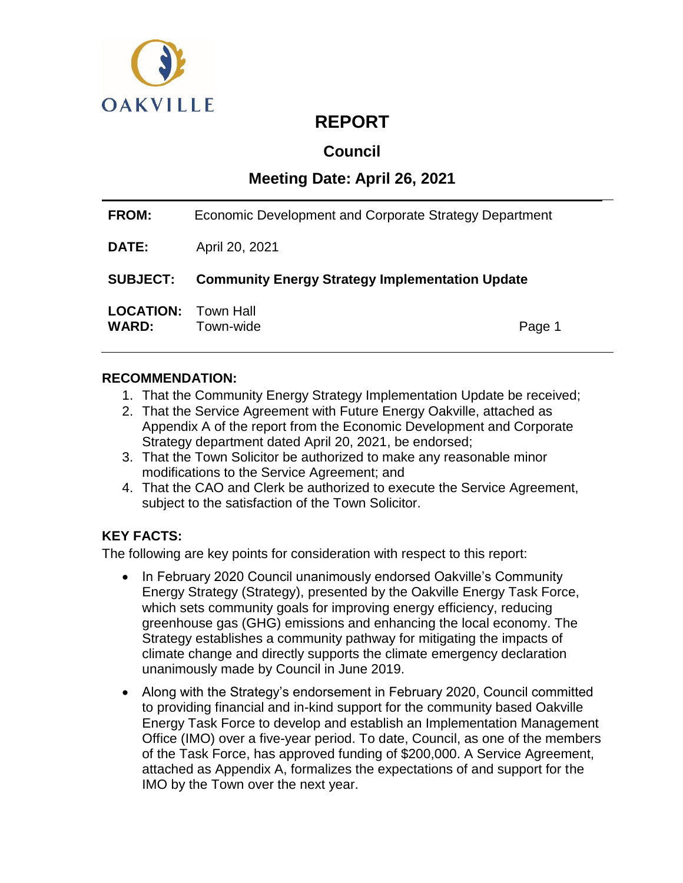

# **REPORT**

# **Council**

# **Meeting Date: April 26, 2021**

| <b>FROM:</b>                               | Economic Development and Corporate Strategy Department |        |  |
|--------------------------------------------|--------------------------------------------------------|--------|--|
| <b>DATE:</b>                               | April 20, 2021                                         |        |  |
| <b>SUBJECT:</b>                            | <b>Community Energy Strategy Implementation Update</b> |        |  |
| <b>LOCATION: Town Hall</b><br><b>WARD:</b> | Town-wide                                              | Page 1 |  |

# **RECOMMENDATION:**

- 1. That the Community Energy Strategy Implementation Update be received;
- 2. That the Service Agreement with Future Energy Oakville, attached as Appendix A of the report from the Economic Development and Corporate Strategy department dated April 20, 2021, be endorsed;
- 3. That the Town Solicitor be authorized to make any reasonable minor modifications to the Service Agreement; and
- 4. That the CAO and Clerk be authorized to execute the Service Agreement, subject to the satisfaction of the Town Solicitor.

# **KEY FACTS:**

The following are key points for consideration with respect to this report:

- In February 2020 Council unanimously endorsed Oakville's Community Energy Strategy (Strategy), presented by the Oakville Energy Task Force, which sets community goals for improving energy efficiency, reducing greenhouse gas (GHG) emissions and enhancing the local economy. The Strategy establishes a community pathway for mitigating the impacts of climate change and directly supports the climate emergency declaration unanimously made by Council in June 2019.
- Along with the Strategy's endorsement in February 2020, Council committed to providing financial and in-kind support for the community based Oakville Energy Task Force to develop and establish an Implementation Management Office (IMO) over a five-year period. To date, Council, as one of the members of the Task Force, has approved funding of \$200,000. A Service Agreement, attached as Appendix A, formalizes the expectations of and support for the IMO by the Town over the next year.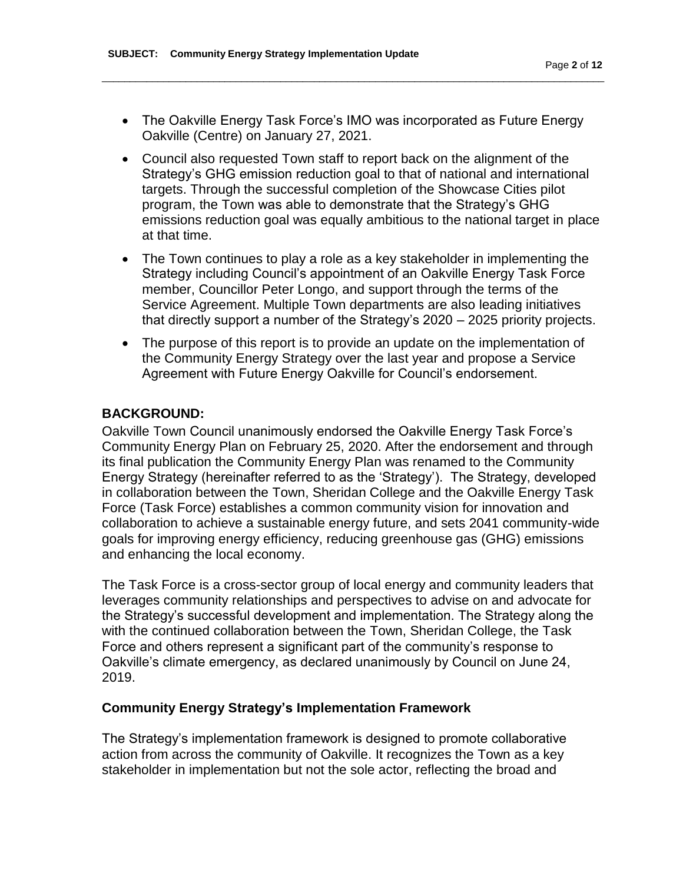• The Oakville Energy Task Force's IMO was incorporated as Future Energy Oakville (Centre) on January 27, 2021.

\_\_\_\_\_\_\_\_\_\_\_\_\_\_\_\_\_\_\_\_\_\_\_\_\_\_\_\_\_\_\_\_\_\_\_\_\_\_\_\_\_\_\_\_\_\_\_\_\_\_\_\_\_\_\_\_\_\_\_\_\_\_\_\_\_\_\_\_\_\_\_\_\_\_\_\_\_\_\_\_\_\_\_\_\_\_\_\_\_\_

- Council also requested Town staff to report back on the alignment of the Strategy's GHG emission reduction goal to that of national and international targets. Through the successful completion of the Showcase Cities pilot program, the Town was able to demonstrate that the Strategy's GHG emissions reduction goal was equally ambitious to the national target in place at that time.
- The Town continues to play a role as a key stakeholder in implementing the Strategy including Council's appointment of an Oakville Energy Task Force member, Councillor Peter Longo, and support through the terms of the Service Agreement. Multiple Town departments are also leading initiatives that directly support a number of the Strategy's 2020 – 2025 priority projects.
- The purpose of this report is to provide an update on the implementation of the Community Energy Strategy over the last year and propose a Service Agreement with Future Energy Oakville for Council's endorsement.

# **BACKGROUND:**

Oakville Town Council unanimously endorsed the Oakville Energy Task Force's Community Energy Plan on February 25, 2020. After the endorsement and through its final publication the Community Energy Plan was renamed to the Community Energy Strategy (hereinafter referred to as the 'Strategy'). The Strategy, developed in collaboration between the Town, Sheridan College and the Oakville Energy Task Force (Task Force) establishes a common community vision for innovation and collaboration to achieve a sustainable energy future, and sets 2041 community-wide goals for improving energy efficiency, reducing greenhouse gas (GHG) emissions and enhancing the local economy.

The Task Force is a cross-sector group of local energy and community leaders that leverages community relationships and perspectives to advise on and advocate for the Strategy's successful development and implementation. The Strategy along the with the continued collaboration between the Town, Sheridan College, the Task Force and others represent a significant part of the community's response to Oakville's climate emergency, as declared unanimously by Council on June 24, 2019.

# **Community Energy Strategy's Implementation Framework**

The Strategy's implementation framework is designed to promote collaborative action from across the community of Oakville. It recognizes the Town as a key stakeholder in implementation but not the sole actor, reflecting the broad and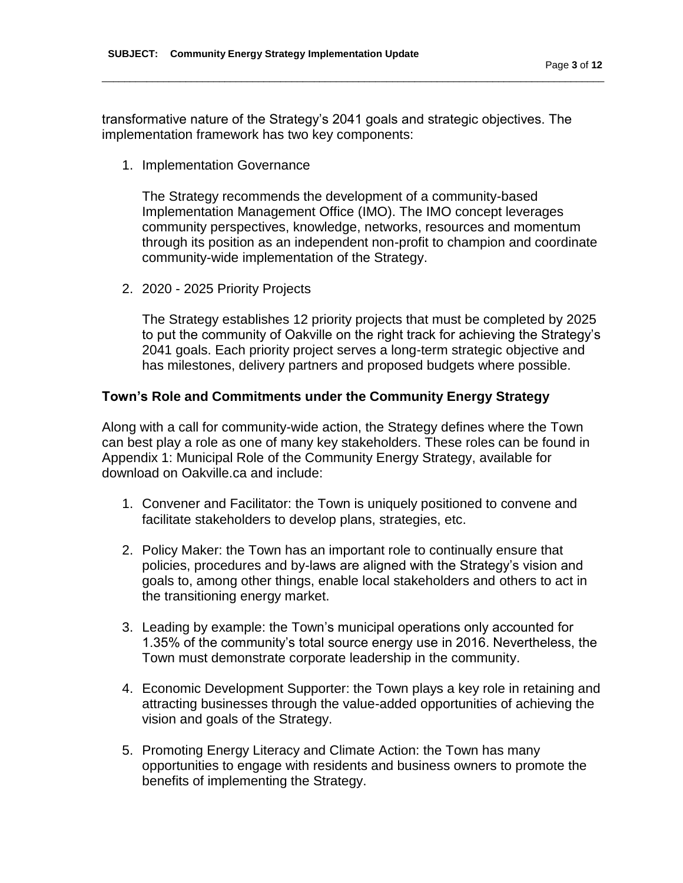transformative nature of the Strategy's 2041 goals and strategic objectives. The implementation framework has two key components:

\_\_\_\_\_\_\_\_\_\_\_\_\_\_\_\_\_\_\_\_\_\_\_\_\_\_\_\_\_\_\_\_\_\_\_\_\_\_\_\_\_\_\_\_\_\_\_\_\_\_\_\_\_\_\_\_\_\_\_\_\_\_\_\_\_\_\_\_\_\_\_\_\_\_\_\_\_\_\_\_\_\_\_\_\_\_\_\_\_\_

1. Implementation Governance

The Strategy recommends the development of a community-based Implementation Management Office (IMO). The IMO concept leverages community perspectives, knowledge, networks, resources and momentum through its position as an independent non-profit to champion and coordinate community-wide implementation of the Strategy.

2. 2020 - 2025 Priority Projects

The Strategy establishes 12 priority projects that must be completed by 2025 to put the community of Oakville on the right track for achieving the Strategy's 2041 goals. Each priority project serves a long-term strategic objective and has milestones, delivery partners and proposed budgets where possible.

### **Town's Role and Commitments under the Community Energy Strategy**

Along with a call for community-wide action, the Strategy defines where the Town can best play a role as one of many key stakeholders. These roles can be found in Appendix 1: Municipal Role of the Community Energy Strategy, available for download on Oakville.ca and include:

- 1. Convener and Facilitator: the Town is uniquely positioned to convene and facilitate stakeholders to develop plans, strategies, etc.
- 2. Policy Maker: the Town has an important role to continually ensure that policies, procedures and by-laws are aligned with the Strategy's vision and goals to, among other things, enable local stakeholders and others to act in the transitioning energy market.
- 3. Leading by example: the Town's municipal operations only accounted for 1.35% of the community's total source energy use in 2016. Nevertheless, the Town must demonstrate corporate leadership in the community.
- 4. Economic Development Supporter: the Town plays a key role in retaining and attracting businesses through the value-added opportunities of achieving the vision and goals of the Strategy.
- 5. Promoting Energy Literacy and Climate Action: the Town has many opportunities to engage with residents and business owners to promote the benefits of implementing the Strategy.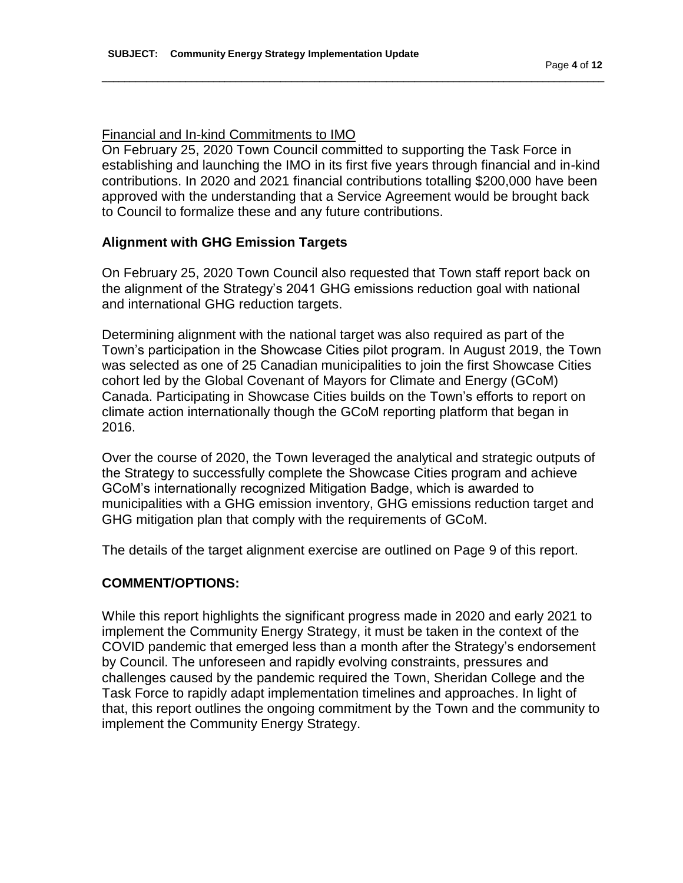### Financial and In-kind Commitments to IMO

On February 25, 2020 Town Council committed to supporting the Task Force in establishing and launching the IMO in its first five years through financial and in-kind contributions. In 2020 and 2021 financial contributions totalling \$200,000 have been approved with the understanding that a Service Agreement would be brought back to Council to formalize these and any future contributions.

\_\_\_\_\_\_\_\_\_\_\_\_\_\_\_\_\_\_\_\_\_\_\_\_\_\_\_\_\_\_\_\_\_\_\_\_\_\_\_\_\_\_\_\_\_\_\_\_\_\_\_\_\_\_\_\_\_\_\_\_\_\_\_\_\_\_\_\_\_\_\_\_\_\_\_\_\_\_\_\_\_\_\_\_\_\_\_\_\_\_

### **Alignment with GHG Emission Targets**

On February 25, 2020 Town Council also requested that Town staff report back on the alignment of the Strategy's 2041 GHG emissions reduction goal with national and international GHG reduction targets.

Determining alignment with the national target was also required as part of the Town's participation in the Showcase Cities pilot program. In August 2019, the Town was selected as one of 25 Canadian municipalities to join the first Showcase Cities cohort led by the Global Covenant of Mayors for Climate and Energy (GCoM) Canada. Participating in Showcase Cities builds on the Town's efforts to report on climate action internationally though the GCoM reporting platform that began in 2016.

Over the course of 2020, the Town leveraged the analytical and strategic outputs of the Strategy to successfully complete the Showcase Cities program and achieve GCoM's internationally recognized Mitigation Badge, which is awarded to municipalities with a GHG emission inventory, GHG emissions reduction target and GHG mitigation plan that comply with the requirements of GCoM.

The details of the target alignment exercise are outlined on Page 9 of this report.

### **COMMENT/OPTIONS:**

While this report highlights the significant progress made in 2020 and early 2021 to implement the Community Energy Strategy, it must be taken in the context of the COVID pandemic that emerged less than a month after the Strategy's endorsement by Council. The unforeseen and rapidly evolving constraints, pressures and challenges caused by the pandemic required the Town, Sheridan College and the Task Force to rapidly adapt implementation timelines and approaches. In light of that, this report outlines the ongoing commitment by the Town and the community to implement the Community Energy Strategy.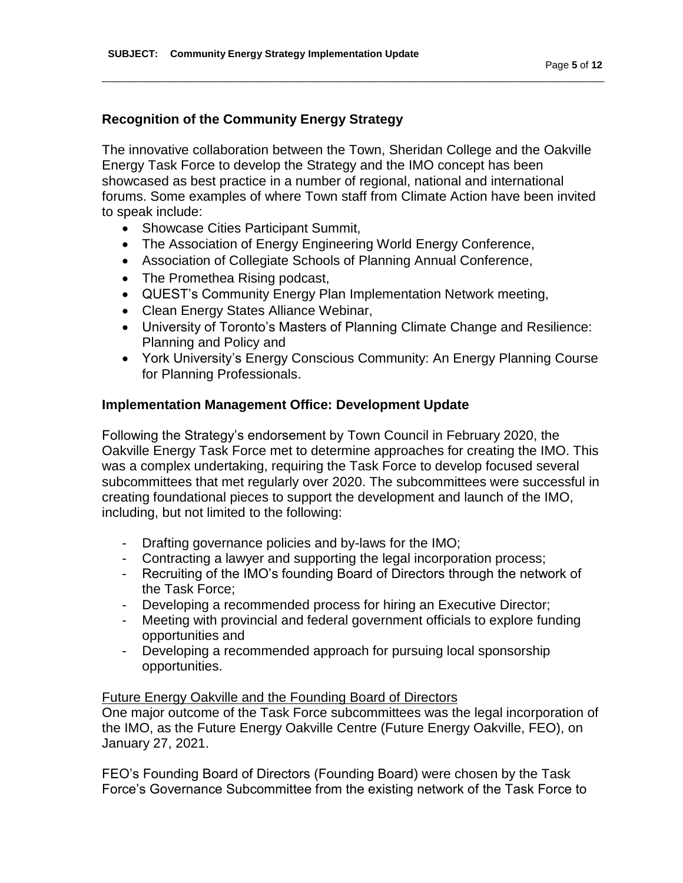# **Recognition of the Community Energy Strategy**

The innovative collaboration between the Town, Sheridan College and the Oakville Energy Task Force to develop the Strategy and the IMO concept has been showcased as best practice in a number of regional, national and international forums. Some examples of where Town staff from Climate Action have been invited to speak include:

\_\_\_\_\_\_\_\_\_\_\_\_\_\_\_\_\_\_\_\_\_\_\_\_\_\_\_\_\_\_\_\_\_\_\_\_\_\_\_\_\_\_\_\_\_\_\_\_\_\_\_\_\_\_\_\_\_\_\_\_\_\_\_\_\_\_\_\_\_\_\_\_\_\_\_\_\_\_\_\_\_\_\_\_\_\_\_\_\_\_

- Showcase Cities Participant Summit,
- The Association of Energy Engineering World Energy Conference,
- Association of Collegiate Schools of Planning Annual Conference,
- The Promethea Rising podcast,
- QUEST's Community Energy Plan Implementation Network meeting,
- Clean Energy States Alliance Webinar,
- University of Toronto's Masters of Planning Climate Change and Resilience: Planning and Policy and
- York University's Energy Conscious Community: An Energy Planning Course for Planning Professionals.

### **Implementation Management Office: Development Update**

Following the Strategy's endorsement by Town Council in February 2020, the Oakville Energy Task Force met to determine approaches for creating the IMO. This was a complex undertaking, requiring the Task Force to develop focused several subcommittees that met regularly over 2020. The subcommittees were successful in creating foundational pieces to support the development and launch of the IMO, including, but not limited to the following:

- Drafting governance policies and by-laws for the IMO;
- Contracting a lawyer and supporting the legal incorporation process;
- Recruiting of the IMO's founding Board of Directors through the network of the Task Force;
- Developing a recommended process for hiring an Executive Director;
- Meeting with provincial and federal government officials to explore funding opportunities and
- Developing a recommended approach for pursuing local sponsorship opportunities.

### Future Energy Oakville and the Founding Board of Directors

One major outcome of the Task Force subcommittees was the legal incorporation of the IMO, as the Future Energy Oakville Centre (Future Energy Oakville, FEO), on January 27, 2021.

FEO's Founding Board of Directors (Founding Board) were chosen by the Task Force's Governance Subcommittee from the existing network of the Task Force to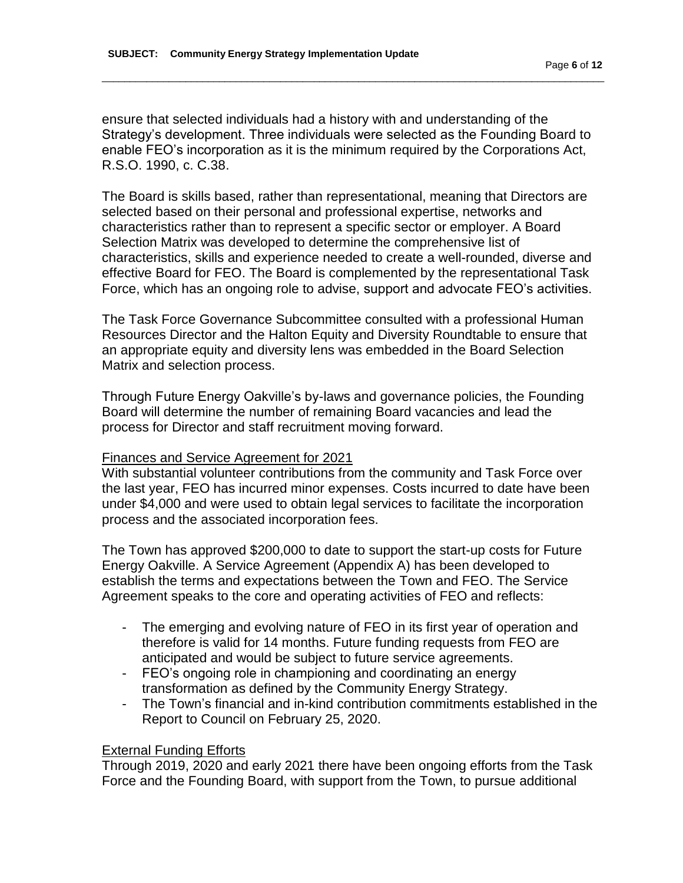ensure that selected individuals had a history with and understanding of the Strategy's development. Three individuals were selected as the Founding Board to enable FEO's incorporation as it is the minimum required by the Corporations Act, R.S.O. 1990, c. C.38.

\_\_\_\_\_\_\_\_\_\_\_\_\_\_\_\_\_\_\_\_\_\_\_\_\_\_\_\_\_\_\_\_\_\_\_\_\_\_\_\_\_\_\_\_\_\_\_\_\_\_\_\_\_\_\_\_\_\_\_\_\_\_\_\_\_\_\_\_\_\_\_\_\_\_\_\_\_\_\_\_\_\_\_\_\_\_\_\_\_\_

The Board is skills based, rather than representational, meaning that Directors are selected based on their personal and professional expertise, networks and characteristics rather than to represent a specific sector or employer. A Board Selection Matrix was developed to determine the comprehensive list of characteristics, skills and experience needed to create a well-rounded, diverse and effective Board for FEO. The Board is complemented by the representational Task Force, which has an ongoing role to advise, support and advocate FEO's activities.

The Task Force Governance Subcommittee consulted with a professional Human Resources Director and the Halton Equity and Diversity Roundtable to ensure that an appropriate equity and diversity lens was embedded in the Board Selection Matrix and selection process.

Through Future Energy Oakville's by-laws and governance policies, the Founding Board will determine the number of remaining Board vacancies and lead the process for Director and staff recruitment moving forward.

#### Finances and Service Agreement for 2021

With substantial volunteer contributions from the community and Task Force over the last year, FEO has incurred minor expenses. Costs incurred to date have been under \$4,000 and were used to obtain legal services to facilitate the incorporation process and the associated incorporation fees.

The Town has approved \$200,000 to date to support the start-up costs for Future Energy Oakville. A Service Agreement (Appendix A) has been developed to establish the terms and expectations between the Town and FEO. The Service Agreement speaks to the core and operating activities of FEO and reflects:

- The emerging and evolving nature of FEO in its first year of operation and therefore is valid for 14 months. Future funding requests from FEO are anticipated and would be subject to future service agreements.
- FEO's ongoing role in championing and coordinating an energy transformation as defined by the Community Energy Strategy.
- The Town's financial and in-kind contribution commitments established in the Report to Council on February 25, 2020.

#### External Funding Efforts

Through 2019, 2020 and early 2021 there have been ongoing efforts from the Task Force and the Founding Board, with support from the Town, to pursue additional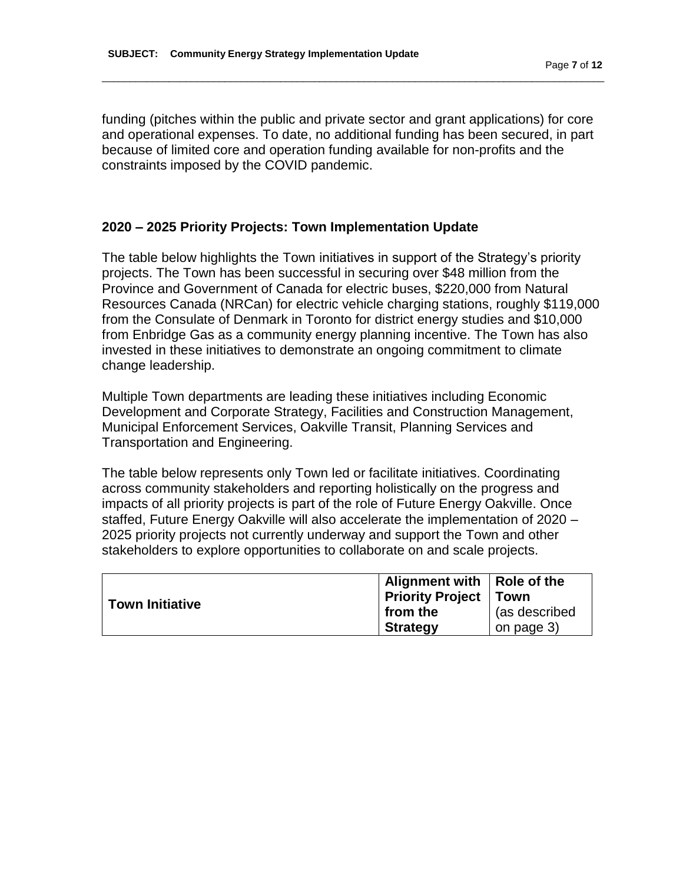funding (pitches within the public and private sector and grant applications) for core and operational expenses. To date, no additional funding has been secured, in part because of limited core and operation funding available for non-profits and the constraints imposed by the COVID pandemic.

\_\_\_\_\_\_\_\_\_\_\_\_\_\_\_\_\_\_\_\_\_\_\_\_\_\_\_\_\_\_\_\_\_\_\_\_\_\_\_\_\_\_\_\_\_\_\_\_\_\_\_\_\_\_\_\_\_\_\_\_\_\_\_\_\_\_\_\_\_\_\_\_\_\_\_\_\_\_\_\_\_\_\_\_\_\_\_\_\_\_

### **2020 – 2025 Priority Projects: Town Implementation Update**

The table below highlights the Town initiatives in support of the Strategy's priority projects. The Town has been successful in securing over \$48 million from the Province and Government of Canada for electric buses, \$220,000 from Natural Resources Canada (NRCan) for electric vehicle charging stations, roughly \$119,000 from the Consulate of Denmark in Toronto for district energy studies and \$10,000 from Enbridge Gas as a community energy planning incentive. The Town has also invested in these initiatives to demonstrate an ongoing commitment to climate change leadership.

Multiple Town departments are leading these initiatives including Economic Development and Corporate Strategy, Facilities and Construction Management, Municipal Enforcement Services, Oakville Transit, Planning Services and Transportation and Engineering.

The table below represents only Town led or facilitate initiatives. Coordinating across community stakeholders and reporting holistically on the progress and impacts of all priority projects is part of the role of Future Energy Oakville. Once staffed, Future Energy Oakville will also accelerate the implementation of 2020 – 2025 priority projects not currently underway and support the Town and other stakeholders to explore opportunities to collaborate on and scale projects.

|                 | Alignment with   Role of the   |               |
|-----------------|--------------------------------|---------------|
| Town Initiative | <b>Priority Project   Town</b> |               |
|                 | from the                       | (as described |
|                 | <b>Strategy</b>                | on page 3)    |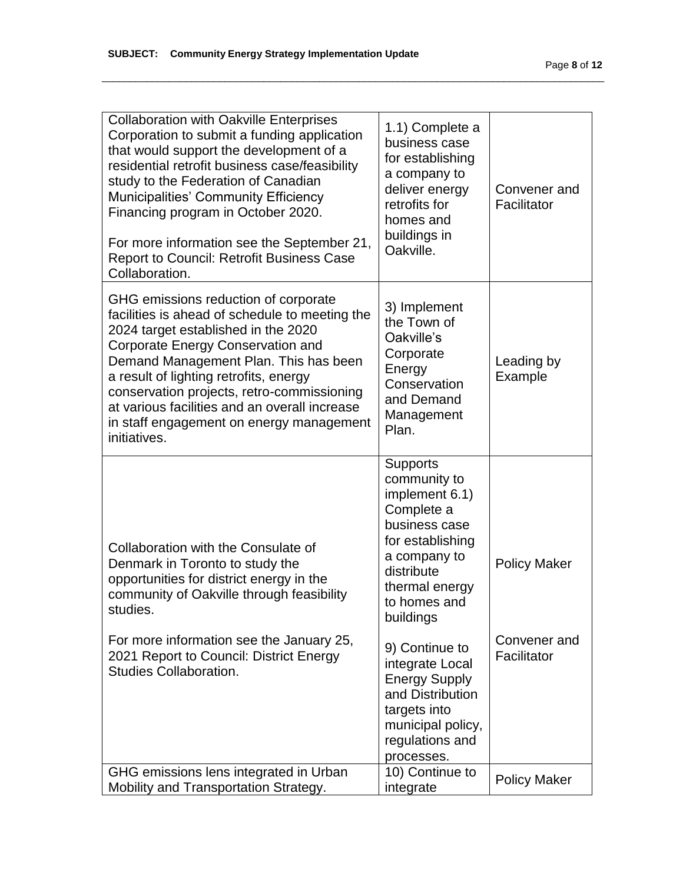| <b>Collaboration with Oakville Enterprises</b><br>Corporation to submit a funding application<br>that would support the development of a<br>residential retrofit business case/feasibility<br>study to the Federation of Canadian<br><b>Municipalities' Community Efficiency</b><br>Financing program in October 2020.<br>For more information see the September 21,<br><b>Report to Council: Retrofit Business Case</b><br>Collaboration. | 1.1) Complete a<br>business case<br>for establishing<br>a company to<br>deliver energy<br>retrofits for<br>homes and<br>buildings in<br>Oakville.                                 | Convener and<br>Facilitator |
|--------------------------------------------------------------------------------------------------------------------------------------------------------------------------------------------------------------------------------------------------------------------------------------------------------------------------------------------------------------------------------------------------------------------------------------------|-----------------------------------------------------------------------------------------------------------------------------------------------------------------------------------|-----------------------------|
| GHG emissions reduction of corporate<br>facilities is ahead of schedule to meeting the<br>2024 target established in the 2020<br><b>Corporate Energy Conservation and</b><br>Demand Management Plan. This has been<br>a result of lighting retrofits, energy<br>conservation projects, retro-commissioning<br>at various facilities and an overall increase<br>in staff engagement on energy management<br>initiatives.                    | 3) Implement<br>the Town of<br>Oakville's<br>Corporate<br>Energy<br>Conservation<br>and Demand<br>Management<br>Plan.                                                             | Leading by<br>Example       |
| Collaboration with the Consulate of<br>Denmark in Toronto to study the<br>opportunities for district energy in the<br>community of Oakville through feasibility<br>studies.                                                                                                                                                                                                                                                                | <b>Supports</b><br>community to<br>implement 6.1)<br>Complete a<br>business case<br>for establishing<br>a company to<br>distribute<br>thermal energy<br>to homes and<br>buildings | <b>Policy Maker</b>         |
| For more information see the January 25,<br>2021 Report to Council: District Energy<br><b>Studies Collaboration.</b>                                                                                                                                                                                                                                                                                                                       | 9) Continue to<br>integrate Local<br><b>Energy Supply</b><br>and Distribution<br>targets into<br>municipal policy,<br>regulations and<br>processes.                               | Convener and<br>Facilitator |
| GHG emissions lens integrated in Urban<br>Mobility and Transportation Strategy.                                                                                                                                                                                                                                                                                                                                                            | 10) Continue to<br>integrate                                                                                                                                                      | <b>Policy Maker</b>         |

\_\_\_\_\_\_\_\_\_\_\_\_\_\_\_\_\_\_\_\_\_\_\_\_\_\_\_\_\_\_\_\_\_\_\_\_\_\_\_\_\_\_\_\_\_\_\_\_\_\_\_\_\_\_\_\_\_\_\_\_\_\_\_\_\_\_\_\_\_\_\_\_\_\_\_\_\_\_\_\_\_\_\_\_\_\_\_\_\_\_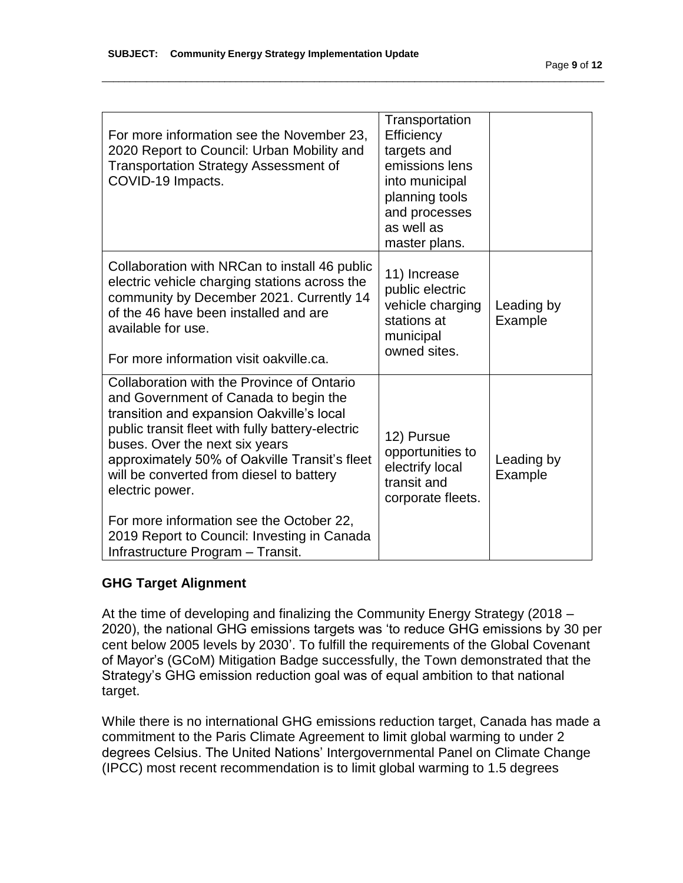| For more information see the November 23,<br>2020 Report to Council: Urban Mobility and<br><b>Transportation Strategy Assessment of</b><br>COVID-19 Impacts.                                                                                                                                                                                                                                                                                                           | Transportation<br>Efficiency<br>targets and<br>emissions lens<br>into municipal<br>planning tools<br>and processes<br>as well as<br>master plans. |                       |
|------------------------------------------------------------------------------------------------------------------------------------------------------------------------------------------------------------------------------------------------------------------------------------------------------------------------------------------------------------------------------------------------------------------------------------------------------------------------|---------------------------------------------------------------------------------------------------------------------------------------------------|-----------------------|
| Collaboration with NRCan to install 46 public<br>electric vehicle charging stations across the<br>community by December 2021. Currently 14<br>of the 46 have been installed and are<br>available for use.<br>For more information visit oakville.ca.                                                                                                                                                                                                                   | 11) Increase<br>public electric<br>vehicle charging<br>stations at<br>municipal<br>owned sites.                                                   | Leading by<br>Example |
| Collaboration with the Province of Ontario<br>and Government of Canada to begin the<br>transition and expansion Oakville's local<br>public transit fleet with fully battery-electric<br>buses. Over the next six years<br>approximately 50% of Oakville Transit's fleet<br>will be converted from diesel to battery<br>electric power.<br>For more information see the October 22,<br>2019 Report to Council: Investing in Canada<br>Infrastructure Program - Transit. | 12) Pursue<br>opportunities to<br>electrify local<br>transit and<br>corporate fleets.                                                             | Leading by<br>Example |

\_\_\_\_\_\_\_\_\_\_\_\_\_\_\_\_\_\_\_\_\_\_\_\_\_\_\_\_\_\_\_\_\_\_\_\_\_\_\_\_\_\_\_\_\_\_\_\_\_\_\_\_\_\_\_\_\_\_\_\_\_\_\_\_\_\_\_\_\_\_\_\_\_\_\_\_\_\_\_\_\_\_\_\_\_\_\_\_\_\_

# **GHG Target Alignment**

At the time of developing and finalizing the Community Energy Strategy (2018 – 2020), the national GHG emissions targets was 'to reduce GHG emissions by 30 per cent below 2005 levels by 2030'. To fulfill the requirements of the Global Covenant of Mayor's (GCoM) Mitigation Badge successfully, the Town demonstrated that the Strategy's GHG emission reduction goal was of equal ambition to that national target.

While there is no international GHG emissions reduction target, Canada has made a commitment to the Paris Climate Agreement to limit global warming to under 2 degrees Celsius. The United Nations' Intergovernmental Panel on Climate Change (IPCC) most recent recommendation is to limit global warming to 1.5 degrees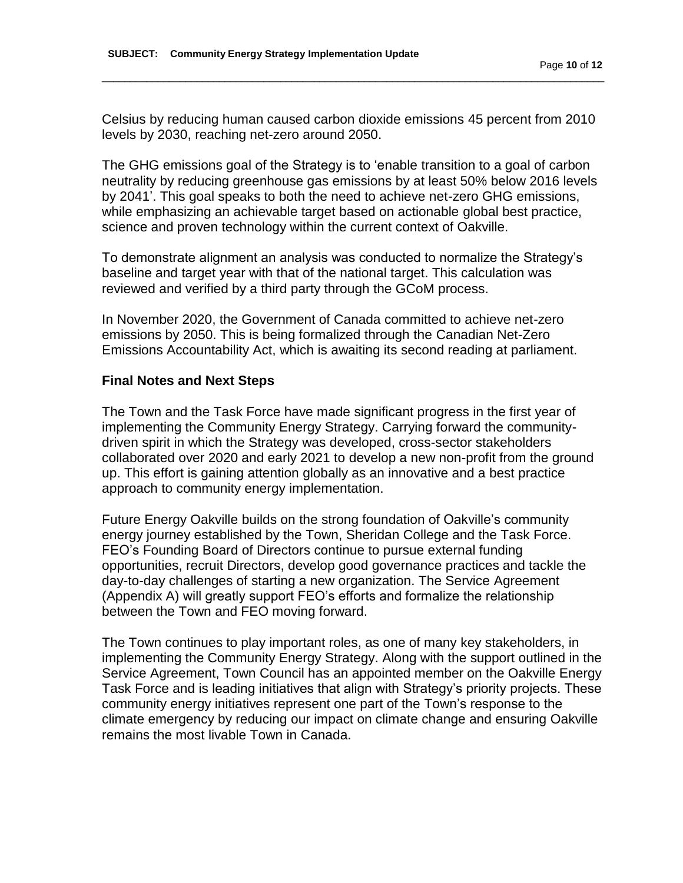Celsius by reducing human caused carbon dioxide emissions 45 percent from 2010 levels by 2030, reaching net-zero around 2050.

\_\_\_\_\_\_\_\_\_\_\_\_\_\_\_\_\_\_\_\_\_\_\_\_\_\_\_\_\_\_\_\_\_\_\_\_\_\_\_\_\_\_\_\_\_\_\_\_\_\_\_\_\_\_\_\_\_\_\_\_\_\_\_\_\_\_\_\_\_\_\_\_\_\_\_\_\_\_\_\_\_\_\_\_\_\_\_\_\_\_

The GHG emissions goal of the Strategy is to 'enable transition to a goal of carbon neutrality by reducing greenhouse gas emissions by at least 50% below 2016 levels by 2041'. This goal speaks to both the need to achieve net-zero GHG emissions, while emphasizing an achievable target based on actionable global best practice, science and proven technology within the current context of Oakville.

To demonstrate alignment an analysis was conducted to normalize the Strategy's baseline and target year with that of the national target. This calculation was reviewed and verified by a third party through the GCoM process.

In November 2020, the Government of Canada committed to achieve net-zero emissions by 2050. This is being formalized through the Canadian Net-Zero Emissions Accountability Act, which is awaiting its second reading at parliament.

#### **Final Notes and Next Steps**

The Town and the Task Force have made significant progress in the first year of implementing the Community Energy Strategy. Carrying forward the communitydriven spirit in which the Strategy was developed, cross-sector stakeholders collaborated over 2020 and early 2021 to develop a new non-profit from the ground up. This effort is gaining attention globally as an innovative and a best practice approach to community energy implementation.

Future Energy Oakville builds on the strong foundation of Oakville's community energy journey established by the Town, Sheridan College and the Task Force. FEO's Founding Board of Directors continue to pursue external funding opportunities, recruit Directors, develop good governance practices and tackle the day-to-day challenges of starting a new organization. The Service Agreement (Appendix A) will greatly support FEO's efforts and formalize the relationship between the Town and FEO moving forward.

The Town continues to play important roles, as one of many key stakeholders, in implementing the Community Energy Strategy. Along with the support outlined in the Service Agreement, Town Council has an appointed member on the Oakville Energy Task Force and is leading initiatives that align with Strategy's priority projects. These community energy initiatives represent one part of the Town's response to the climate emergency by reducing our impact on climate change and ensuring Oakville remains the most livable Town in Canada.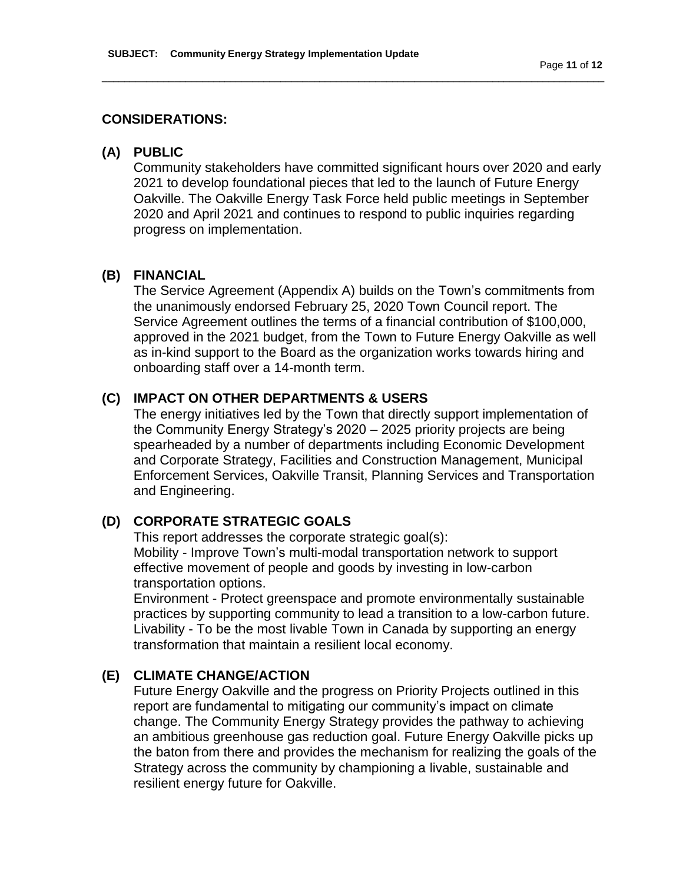### **CONSIDERATIONS:**

### **(A) PUBLIC**

Community stakeholders have committed significant hours over 2020 and early 2021 to develop foundational pieces that led to the launch of Future Energy Oakville. The Oakville Energy Task Force held public meetings in September 2020 and April 2021 and continues to respond to public inquiries regarding progress on implementation.

\_\_\_\_\_\_\_\_\_\_\_\_\_\_\_\_\_\_\_\_\_\_\_\_\_\_\_\_\_\_\_\_\_\_\_\_\_\_\_\_\_\_\_\_\_\_\_\_\_\_\_\_\_\_\_\_\_\_\_\_\_\_\_\_\_\_\_\_\_\_\_\_\_\_\_\_\_\_\_\_\_\_\_\_\_\_\_\_\_\_

### **(B) FINANCIAL**

The Service Agreement (Appendix A) builds on the Town's commitments from the unanimously endorsed February 25, 2020 Town Council report. The Service Agreement outlines the terms of a financial contribution of \$100,000, approved in the 2021 budget, from the Town to Future Energy Oakville as well as in-kind support to the Board as the organization works towards hiring and onboarding staff over a 14-month term.

# **(C) IMPACT ON OTHER DEPARTMENTS & USERS**

The energy initiatives led by the Town that directly support implementation of the Community Energy Strategy's 2020 – 2025 priority projects are being spearheaded by a number of departments including Economic Development and Corporate Strategy, Facilities and Construction Management, Municipal Enforcement Services, Oakville Transit, Planning Services and Transportation and Engineering.

# **(D) CORPORATE STRATEGIC GOALS**

This report addresses the corporate strategic goal(s): Mobility - Improve Town's multi-modal transportation network to support effective movement of people and goods by investing in low-carbon transportation options.

Environment - Protect greenspace and promote environmentally sustainable practices by supporting community to lead a transition to a low-carbon future. Livability - To be the most livable Town in Canada by supporting an energy transformation that maintain a resilient local economy.

# **(E) CLIMATE CHANGE/ACTION**

Future Energy Oakville and the progress on Priority Projects outlined in this report are fundamental to mitigating our community's impact on climate change. The Community Energy Strategy provides the pathway to achieving an ambitious greenhouse gas reduction goal. Future Energy Oakville picks up the baton from there and provides the mechanism for realizing the goals of the Strategy across the community by championing a livable, sustainable and resilient energy future for Oakville.